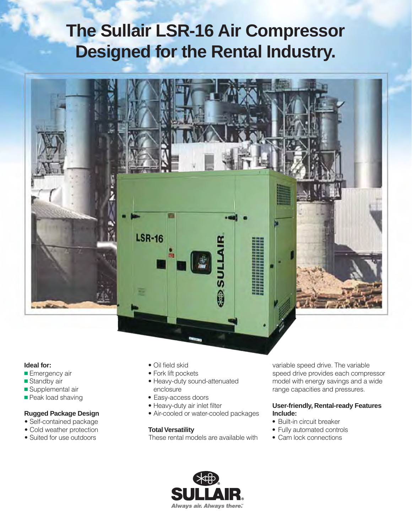# **The Sullair LSR-16 Air Compressor Designed for the Rental Industry.**



#### **Ideal for:**

- **Emergency air**
- Standby air
- **Supplemental air**
- **Peak load shaving**

#### **Rugged Package Design**

- Self-contained package
- Cold weather protection
- Suited for use outdoors
- Oil field skid
- Fork lift pockets
- Heavy-duty sound-attenuated enclosure
- Easy-access doors
- Heavy-duty air inlet filter
- Air-cooled or water-cooled packages

#### **Total Versatility**

These rental models are available with

variable speed drive. The variable speed drive provides each compressor model with energy savings and a wide range capacities and pressures.

#### **User-friendly, Rental-ready Features Include:**

- Built-in circuit breaker
- Fully automated controls
- Cam lock connections